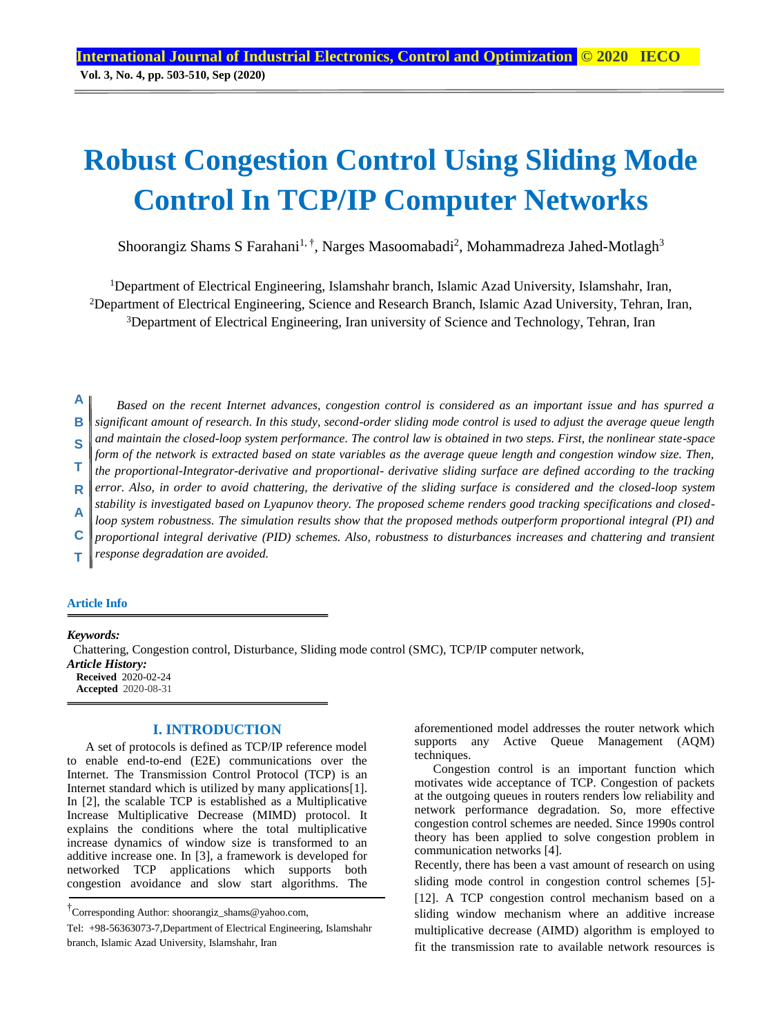# **Robust Congestion Control Using Sliding Mode Control In TCP/IP Computer Networks**

Shoorangiz Shams S Farahani<sup>1, †</sup>, Narges Masoomabadi<sup>2</sup>, Mohammadreza Jahed-Motlagh<sup>3</sup>

<sup>1</sup>Department of Electrical Engineering, Islamshahr branch, Islamic Azad University, Islamshahr, Iran, <sup>2</sup>Department of Electrical Engineering, Science and Research Branch, Islamic Azad University, Tehran, Iran, <sup>3</sup>Department of Electrical Engineering, Iran university of Science and Technology, Tehran, Iran

*Based on the recent Internet advances, congestion control is considered as an important issue and has spurred a significant amount of research. In this study, second-order sliding mode control is used to adjust the average queue length and maintain the closed-loop system performance. The control law is obtained in two steps. First, the nonlinear state-space form of the network is extracted based on state variables as the average queue length and congestion window size. Then, the proportional-Integrator-derivative and proportional- derivative sliding surface are defined according to the tracking error. Also, in order to avoid chattering, the derivative of the sliding surface is considered and the closed-loop system stability is investigated based on Lyapunov theory. The proposed scheme renders good tracking specifications and closedloop system robustness. The simulation results show that the proposed methods outperform proportional integral (PI) and proportional integral derivative (PID) schemes. Also, robustness to disturbances increases and chattering and transient response degradation are avoided.*  **A B S T R A C T**

#### **Article Info**

*Keywords:*

 Chattering, Congestion control, Disturbance, Sliding mode control (SMC), TCP/IP computer network, *Article History:*  **Received** 2020-02-24 **Accepted** 2020-08-31

# **I. INTRODUCTION**

A set of protocols is defined as TCP/IP reference model to enable end-to-end (E2E) communications over the Internet. The Transmission Control Protocol (TCP) is an Internet standard which is utilized by many applications[1]. In [2], the scalable TCP is established as a Multiplicative Increase Multiplicative Decrease (MIMD) protocol. It explains the conditions where the total multiplicative increase dynamics of window size is transformed to an additive increase one. In [3], a framework is developed for networked TCP applications which supports both congestion avoidance and slow start algorithms. The

aforementioned model addresses the router network which supports any Active Queue Management (AQM) techniques.

Congestion control is an important function which motivates wide acceptance of TCP. Congestion of packets at the outgoing queues in routers renders low reliability and network performance degradation. So, more effective congestion control schemes are needed. Since 1990s control theory has been applied to solve congestion problem in communication networks [4].

Recently, there has been a vast amount of research on using sliding mode control in congestion control schemes [5]- [12]. A TCP congestion control mechanism based on a sliding window mechanism where an additive increase multiplicative decrease (AIMD) algorithm is employed to fit the transmission rate to available network resources is

<sup>†</sup> Corresponding Author: shoorangiz\_shams@yahoo.com,

[Tel:](tel:+98) +98-56363073-7,Department of Electrical Engineering, Islamshahr branch, Islamic Azad University, Islamshahr, Iran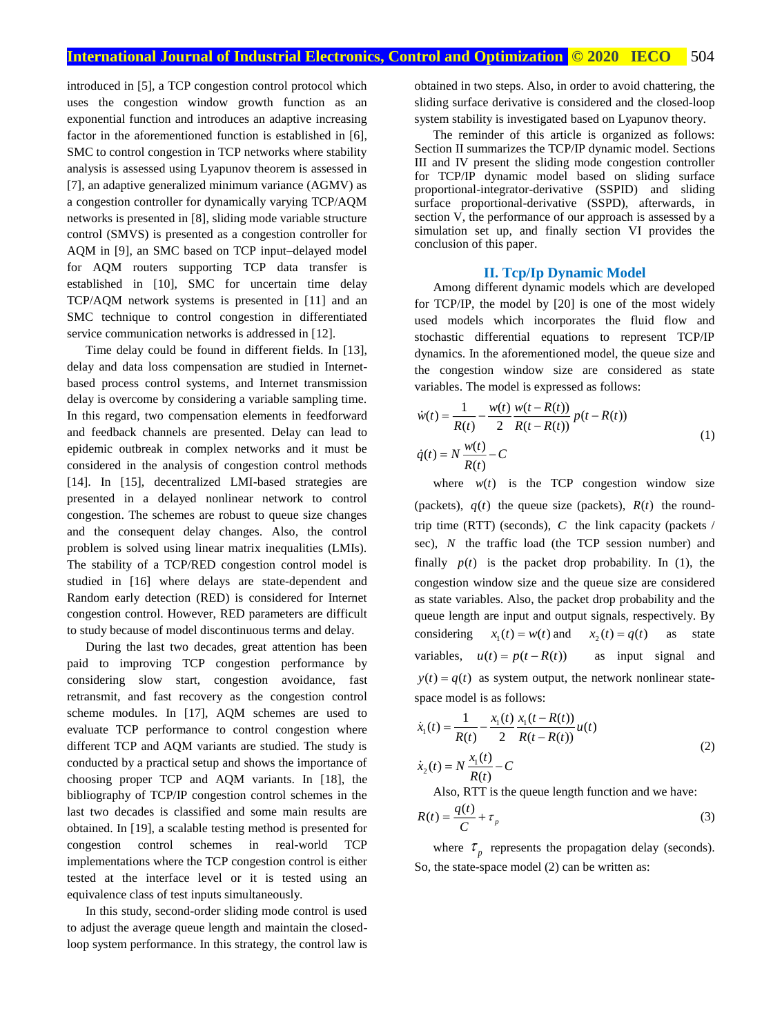introduced in [5], a TCP congestion control protocol which uses the congestion window growth function as an exponential function and introduces an adaptive increasing factor in the aforementioned function is established in [6], SMC to control congestion in TCP networks where stability analysis is assessed using Lyapunov theorem is assessed in [7], an adaptive generalized minimum variance (AGMV) as a congestion controller for dynamically varying TCP/AQM networks is presented in [8], sliding mode variable structure control (SMVS) is presented as a congestion controller for AQM in [9], an SMC based on TCP input–delayed model for AQM routers supporting TCP data transfer is established in [10], SMC for uncertain time delay TCP/AQM network systems is presented in [11] and an SMC technique to control congestion in differentiated service communication networks is addressed in [12].

Time delay could be found in different fields. In [13], delay and data loss compensation are studied in Internetbased process control systems, and Internet transmission delay is overcome by considering a variable sampling time. In this regard, two compensation elements in feedforward and feedback channels are presented. Delay can lead to epidemic outbreak in complex networks and it must be considered in the analysis of congestion control methods [14]. In [15], decentralized LMI-based strategies are presented in a delayed nonlinear network to control congestion. The schemes are robust to queue size changes and the consequent delay changes. Also, the control problem is solved using linear matrix inequalities (LMIs). The stability of a TCP/RED congestion control model is studied in [16] where delays are state-dependent and Random early detection (RED) is considered for Internet congestion control. However, RED parameters are difficult to study because of model discontinuous terms and delay.

During the last two decades, great attention has been paid to improving TCP congestion performance by considering slow start, congestion avoidance, fast retransmit, and fast recovery as the congestion control scheme modules. In [17], AQM schemes are used to evaluate TCP [performance to control congestion](https://ieeexplore.ieee.org/document/8479438/) where different TCP and AQM variants are studied. The study is conducted by a practical setup and shows the importance of choosing proper TCP and AQM variants. In [18], the bibliography of TCP/IP congestion control schemes in the last two decades is classified and some main results are obtained. In [19], a scalable testing method is presented for congestion control schemes in real-world TCP implementations where the TCP congestion control is either tested at the interface level or it is tested using an equivalence class of test inputs simultaneously.

In this study, second-order sliding mode control is used to adjust the average queue length and maintain the closedloop system performance. In this strategy, the control law is obtained in two steps. Also, in order to avoid chattering, the sliding surface derivative is considered and the closed-loop system stability is investigated based on Lyapunov theory.

The reminder of this article is organized as follows: Section II summarizes the TCP/IP dynamic model. Sections III and IV present the sliding mode congestion controller for TCP/IP dynamic model based on sliding surface proportional-integrator-derivative (SSPID) and sliding surface proportional-derivative (SSPD), afterwards, in section V, the performance of our approach is assessed by a simulation set up, and finally section VI provides the conclusion of this paper.

# **II. Tcp/Ip Dynamic Model**

Among different dynamic models which are developed for TCP/IP, the model by [20] is one of the most widely used models which incorporates the fluid flow and stochastic differential equations to represent TCP/IP dynamics. In the aforementioned model, the queue size and the congestion window size are considered as state variables. The model is expressed as follows:

$$
\dot{w}(t) = \frac{1}{R(t)} - \frac{w(t)}{2} \frac{w(t - R(t))}{R(t - R(t))} p(t - R(t))
$$
\n
$$
\dot{q}(t) = N \frac{w(t)}{R(t)} - C
$$
\n(1)

where  $w(t)$  is the TCP congestion window size (packets),  $q(t)$  the queue size (packets),  $R(t)$  the roundtrip time (RTT) (seconds), *<sup>C</sup>* the link capacity (packets / sec), *<sup>N</sup>* the traffic load (the TCP session number) and finally  $p(t)$  is the packet drop probability. In (1), the congestion window size and the queue size are considered as state variables. Also, the packet drop probability and the queue length are input and output signals, respectively. By considering  $x_1(t) = w(t)$  and  $x_2(t) = q(t)$  as state variables,  $u(t) = p(t - R(t))$ as input signal and  $y(t) = q(t)$  as system output, the network nonlinear statespace model is as follows:

$$
\dot{x}_1(t) = \frac{1}{R(t)} - \frac{x_1(t)}{2} \frac{x_1(t - R(t))}{R(t - R(t))} u(t)
$$
\n
$$
\dot{x}_2(t) = N \frac{x_1(t)}{R(t)} - C
$$
\n(2)

Also, RTT is the queue length function and we have:

$$
R(t) = \frac{q(t)}{C} + \tau_p \tag{3}
$$

where  $\tau_p$  represents the propagation delay (seconds). So, the state-space model (2) can be written as: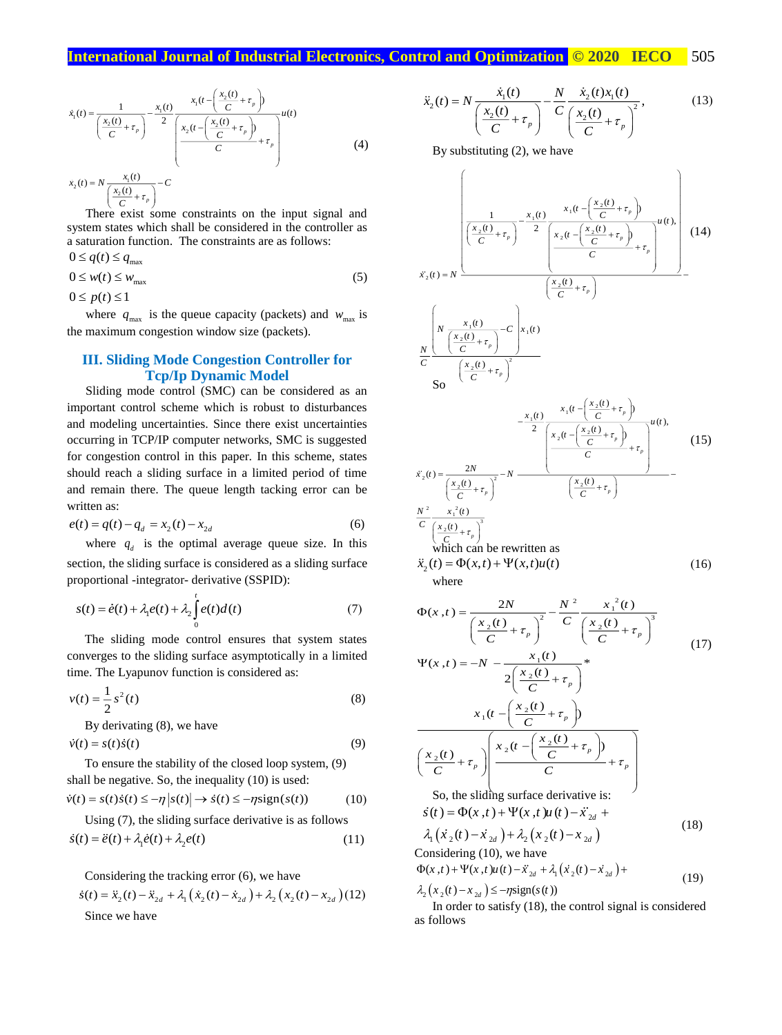$$
\dot{x}_1(t) = \frac{1}{\left(\frac{x_2(t)}{C} + \tau_p\right)} - \frac{x_1(t)}{2} \frac{x_1(t - \left(\frac{x_2(t)}{C} + \tau_p\right))}{\left(\frac{x_2(t - \left(\frac{x_2(t)}{C} + \tau_p\right))}{C} + \tau_p\right)} u(t)
$$
\n
$$
\dot{x}_2(t) = N \frac{x_1(t)}{\left(\frac{x_2(t)}{C} + \tau_p\right)} - C
$$
\n(4)

 $\left(\frac{2\epsilon}{C}+\tau_p\right)$ There exist some constraints on the input signal and system states which shall be considered in the controller as a saturation function. The constraints are as follows:

$$
0 \le q(t) \le q_{\text{max}}
$$
  
 
$$
0 \le w(t) \le w_{\text{max}}
$$
  
 
$$
0 \le p(t) \le 1
$$
 (5)

where  $q_{\text{max}}$  is the queue capacity (packets) and  $w_{\text{max}}$  is the maximum congestion window size (packets).

# **III. Sliding Mode Congestion Controller for Tcp/Ip Dynamic Model**

Sliding mode control (SMC) can be considered as an important control scheme which is robust to disturbances and modeling uncertainties. Since there exist uncertainties occurring in TCP/IP computer networks, SMC is suggested for congestion control in this paper. In this scheme, states should reach a sliding surface in a limited period of time and remain there. The queue length tacking error can be written as:

$$
e(t) = q(t) - q_d = x_2(t) - x_{2d}
$$
 (6)

where  $q_d$  is the optimal average queue size. In this section, the sliding surface is considered as a sliding surface  $\ddot{x}_2(t) = \Phi(x,t) + \Psi(x,t)u(t)$ proportional -integrator- derivative (SSPID):

$$
s(t) = \dot{e}(t) + \lambda_1 e(t) + \lambda_2 \int_0^t e(t) dt(t)
$$
\n(7)

The sliding mode control ensures that system states converges to the sliding surface asymptotically in a limited time. The Lyapunov function is considered as:

$$
v(t) = \frac{1}{2} s^2(t)
$$
 (8)

By derivating (8), we have

$$
\dot{v}(t) = s(t)\dot{s}(t) \tag{9}
$$

To ensure the stability of the closed loop system, (9) shall be negative. So, the inequality (10) is used:<br>  $\dot{v}(t) = s(t)\dot{s}(t) \le -\eta |s(t)| \rightarrow \dot{s}(t) \le -\eta \text{sign}(s(t))$  (10)

$$
\dot{v}(t) = s(t)\dot{s}(t) \le -\eta |s(t)| \to \dot{s}(t) \le -\eta \text{sign}(s(t)) \tag{10}
$$

Using (7), the sliding surface derivative is as follows

$$
\dot{s}(t) = \ddot{e}(t) + \lambda_1 \dot{e}(t) + \lambda_2 e(t)
$$
\n(11)

Considering the tracking error (6), we have

$$
\dot{s}(t) = \ddot{x}_2(t) - \ddot{x}_{2d} + \lambda_1(\dot{x}_2(t) - \dot{x}_{2d}) + \lambda_2(x_2(t) - x_{2d})(12)
$$
  
Since we have

$$
\ddot{x}_2(t) = N \frac{\dot{x}_1(t)}{\left(\frac{x_2(t)}{C} + \tau_p\right)} - \frac{N \dot{x}_2(t)x_1(t)}{C \left(\frac{x_2(t)}{C} + \tau_p\right)^2},
$$
\n(13)

By substituting (2), we have



where

where  
\n
$$
\Phi(x,t) = \frac{2N}{\left(\frac{x_2(t)}{C} + \tau_p\right)^2} - \frac{N^2}{C} \frac{x_1^2(t)}{\left(\frac{x_2(t)}{C} + \tau_p\right)^3}
$$
\n
$$
\Psi(x,t) = -N - \frac{x_1(t)}{2\left(\frac{x_2(t)}{C} + \tau_p\right)^4}
$$
\n(17)

$$
2\left(\frac{x_2(t)}{C} + \tau_p\right)
$$
  

$$
x_1(t - \left(\frac{x_2(t)}{C} + \tau_p\right)
$$
  

$$
\left(\frac{x_2(t)}{C} + \tau_p\right)\left(\frac{x_2(t - \left(\frac{x_2(t)}{C} + \tau_p\right))}{C} + \tau_p\right)
$$
  
So, the sliding surface derivative is:

So, the shall surface derivative is:<br>  $\dot{s}(t) = \Phi(x, t) + \Psi(x, t)u(t) - \ddot{x}_{2d} +$ 

$$
\lambda_1(x_2(t) - x_{2d}) + \lambda_2(x_2(t) - x_{2d})
$$
\n(18)

Considering (10), we have

$$
\Phi(x,t) + \Psi(x,t)u(t) - \ddot{x}_{2d} + \lambda_1(\dot{x}_2(t) - \dot{x}_{2d}) + \tag{19}
$$

 $\lambda_2(x_2(t) - x_{2d}) \leq -\eta \text{sign}(s(t))$ 

In order to satisfy (18), the control signal is considered as follows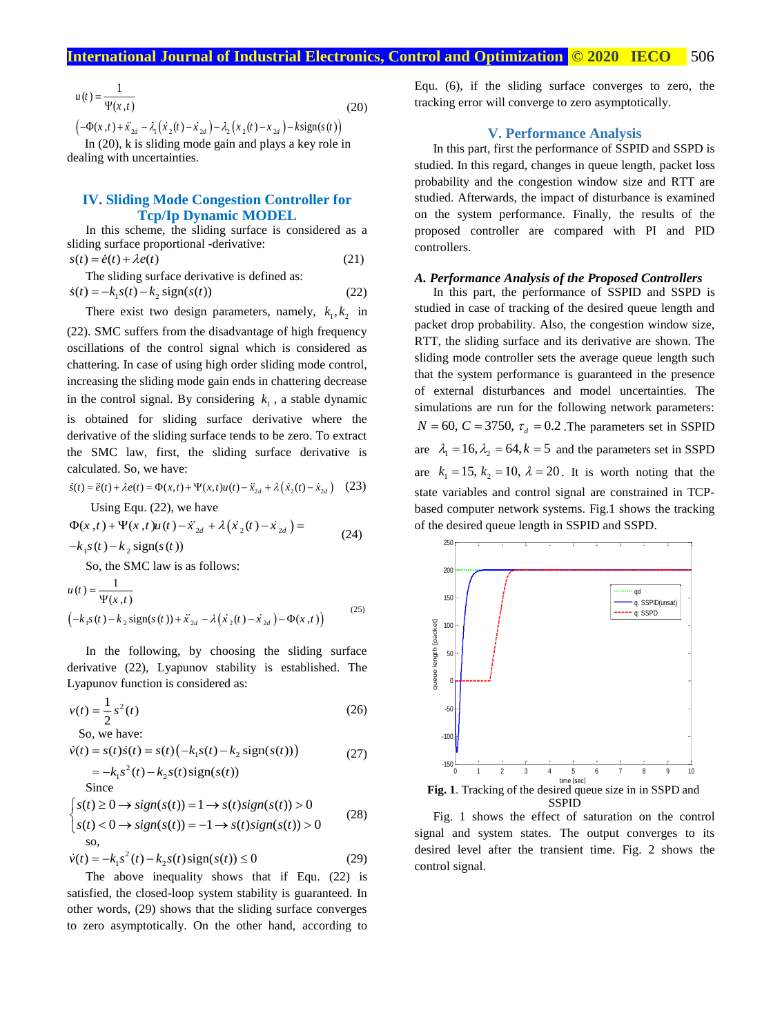$$
u(t) = \frac{1}{\Psi(x,t)}
$$
(20)

 $\left(-\Phi(x,t) + \ddot{x}_{2d} - \lambda_1(\dot{x}_2(t) - \dot{x}_{2d}) - \lambda_2(\dot{x}_2(t) - \dot{x}_{2d}) - k \text{sign}(s(t)\right)$ 

In (20), k is sliding mode gain and plays a key role in dealing with uncertainties.

# **IV. Sliding Mode Congestion Controller for Tcp/Ip Dynamic MODEL**

In this scheme, the sliding surface is considered as a sliding surface proportional -derivative:  $s(t) = \dot{e}(t) + \lambda e(t)$  (21)

The sliding surface derivative is defined as:  
\n
$$
\dot{s}(t) = -k_1 s(t) - k_2 \text{ sign}(s(t))
$$
\n(22)

There exist two design parameters, namely,  $k_1, k_2$  in (22). SMC suffers from the disadvantage of high frequency oscillations of the control signal which is considered as chattering. In case of using high order sliding mode control, increasing the sliding mode gain ends in chattering decrease in the control signal. By considering  $k_1$ , a stable dynamic is obtained for sliding surface derivative where the derivative of the sliding surface tends to be zero. To extract the SMC law, first, the sliding surface derivative is calculated. So, we have:

$$
\dot{s}(t) = \ddot{e}(t) + \lambda e(t) = \Phi(x, t) + \Psi(x, t)u(t) - \ddot{x}_{2d} + \lambda(\dot{x}_2(t) - \dot{x}_{2d}) \quad (23)
$$

Using Equ. (22), we have

$$
\Phi(x,t) + \Psi(x,t)u(t) - \ddot{x}_{2d} + \lambda(\dot{x}_2(t) - \dot{x}_{2d}) =
$$
  
-k<sub>1</sub>s(t) - k<sub>2</sub> sign(s(t)) (24)

So, the SMC law is as follows:

$$
u(t) = \frac{1}{\Psi(x,t)}
$$
  

$$
(-k_1 s(t) - k_2 \text{sign}(s(t)) + \ddot{x}_{2d} - \lambda(\dot{x}_2(t) - \dot{x}_{2d}) - \Phi(x,t))
$$
 (25)

In the following, by choosing the sliding surface derivative (22), Lyapunov stability is established. The Lyapunov function is considered as:

$$
v(t) = \frac{1}{2} s^2(t)
$$
\nSo we have:

30, we have:  

$$
z(t) = z(t)z(t) - z(t) \left(1 + z(t)\right)
$$

$$
\dot{v}(t) = s(t)\dot{s}(t) = s(t)\left(-k_1s(t) - k_2 \text{ sign}(s(t))\right) \tag{27}
$$
\n
$$
= -k_1s^2(t) - k_2s(t) \text{ sign}(s(t)) \tag{27}
$$

Since  
\n
$$
\begin{cases}\ns(t) \ge 0 \to sign(s(t)) = 1 \to s(t)sign(s(t)) > 0 \\
s(t) < 0 \to sign(s(t)) = -1 \to s(t)sign(s(t)) > 0\n\end{cases}
$$
\n(28)

$$
\dot{v}(t) = -k_1 s^2(t) - k_2 s(t) \operatorname{sign}(s(t)) \le 0
$$
\n(29)

The above inequality shows that if Equ. (22) is satisfied, the closed-loop system stability is guaranteed. In other words, (29) shows that the sliding surface converges to zero asymptotically. On the other hand, according to

Equ. (6), if the sliding surface converges to zero, the tracking error will converge to zero asymptotically.

#### **V. Performance Analysis**

In this part, first the performance of SSPID and SSPD is studied. In this regard, changes in queue length, packet loss probability and the congestion window size and RTT are studied. Afterwards, the impact of disturbance is examined on the system performance. Finally, the results of the proposed controller are compared with PI and PID controllers.

## *A. Performance Analysis of the Proposed Controllers*

In this part, the performance of SSPID and SSPD is studied in case of tracking of the desired queue length and packet drop probability. Also, the congestion window size, RTT, the sliding surface and its derivative are shown. The sliding mode controller sets the average queue length such that the system performance is guaranteed in the presence of external disturbances and model uncertainties. The simulations are run for the following network parameters:  $N = 60$ ,  $C = 3750$ ,  $\tau_d = 0.2$ . The parameters set in SSPID are  $\lambda_1 = 16$ ,  $\lambda_2 = 64$ ,  $k = 5$  and the parameters set in SSPD are  $k_1 = 15$ ,  $k_2 = 10$ ,  $\lambda = 20$ . It is worth noting that the state variables and control signal are constrained in TCPbased computer network systems. Fig.1 shows the tracking of the desired queue length in SSPID and SSPD.



Fig. 1 shows the effect of saturation on the control signal and system states. The output converges to its desired level after the transient time. Fig. 2 shows the control signal.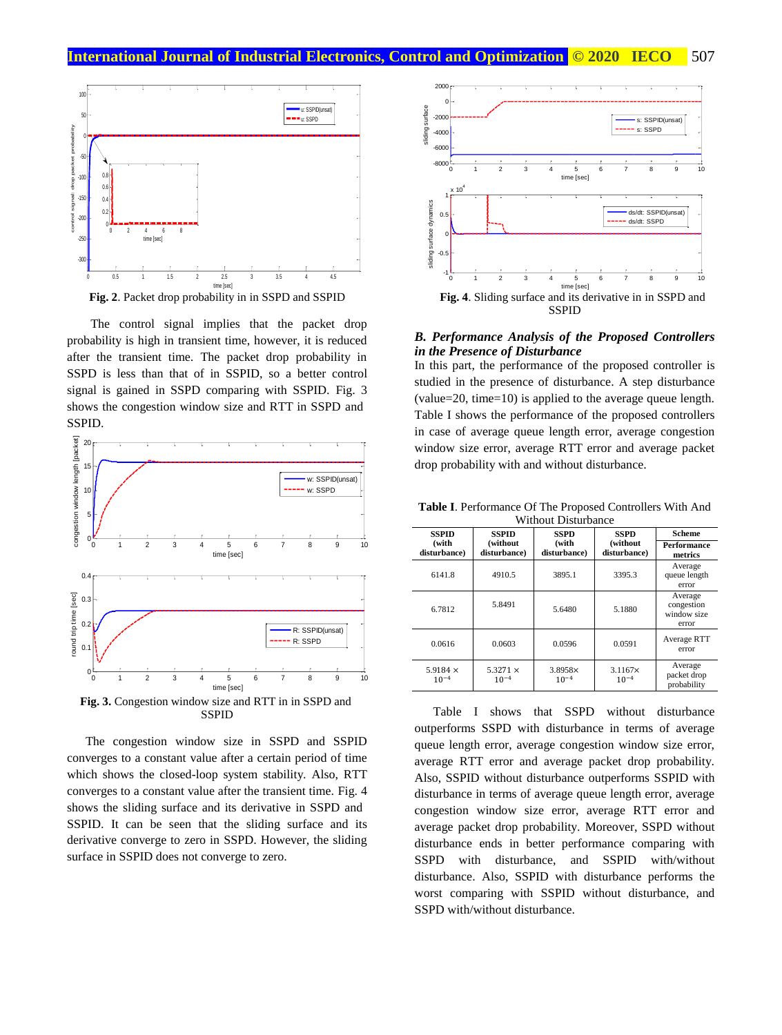# **International Journal of Industrial Electronics, Control and Optimization © 2020 IECO 507**



The control signal implies that the packet drop probability is high in transient time, however, it is reduced after the transient time. The packet drop probability in SSPD is less than that of in SSPID, so a better control signal is gained in SSPD comparing with SSPID. Fig. 3 shows the congestion window size and RTT in SSPD and SSPID.



SSPID The congestion window size in SSPD and SSPID

converges to a constant value after a certain period of time which shows the closed-loop system stability. Also, RTT converges to a constant value after the transient time. Fig. 4 shows the sliding surface and its derivative in SSPD and SSPID. It can be seen that the sliding surface and its derivative converge to zero in SSPD. However, the sliding surface in SSPID does not converge to zero.



#### *B. Performance Analysis of the Proposed Controllers in the Presence of Disturbance*

In this part, the performance of the proposed controller is studied in the presence of disturbance. A step disturbance (value=20, time=10) is applied to the average queue length. Table I shows the performance of the proposed controllers in case of average queue length error, average congestion window size error, average RTT error and average packet drop probability with and without disturbance.

| <b>Without Disturbance</b>   |                                                   |                             |                             |                                               |  |
|------------------------------|---------------------------------------------------|-----------------------------|-----------------------------|-----------------------------------------------|--|
| <b>SSPID</b>                 | <b>SSPID</b>                                      | <b>SSPD</b>                 | <b>SSPD</b>                 | <b>Scheme</b>                                 |  |
| (with<br>disturbance)        | (without<br>(with<br>disturbance)<br>disturbance) |                             | (without<br>disturbance)    | Performance<br>metrics                        |  |
| 6141.8                       | 4910.5                                            | 3895.1                      | 3395.3                      | Average<br>queue length<br>error              |  |
| 6.7812                       | 5.8491                                            | 5.6480                      | 5.1880                      | Average<br>congestion<br>window size<br>error |  |
| 0.0616                       | 0.0603                                            | 0.0596                      | 0.0591                      | Average RTT<br>error                          |  |
| 5.9184 $\times$<br>$10^{-4}$ | 5.3271 $\times$<br>$10^{-4}$                      | $3.8958\times$<br>$10^{-4}$ | $3.1167\times$<br>$10^{-4}$ | Average<br>packet drop<br>probability         |  |

**Table I**. Performance Of The Proposed Controllers With And

Table I shows that SSPD without disturbance outperforms SSPD with disturbance in terms of average queue length error, average congestion window size error, average RTT error and average packet drop probability. Also, SSPID without disturbance outperforms SSPID with disturbance in terms of average queue length error, average congestion window size error, average RTT error and average packet drop probability. Moreover, SSPD without disturbance ends in better performance comparing with SSPD with disturbance, and SSPID with/without disturbance. Also, SSPID with disturbance performs the worst comparing with SSPID without disturbance, and SSPD with/without disturbance.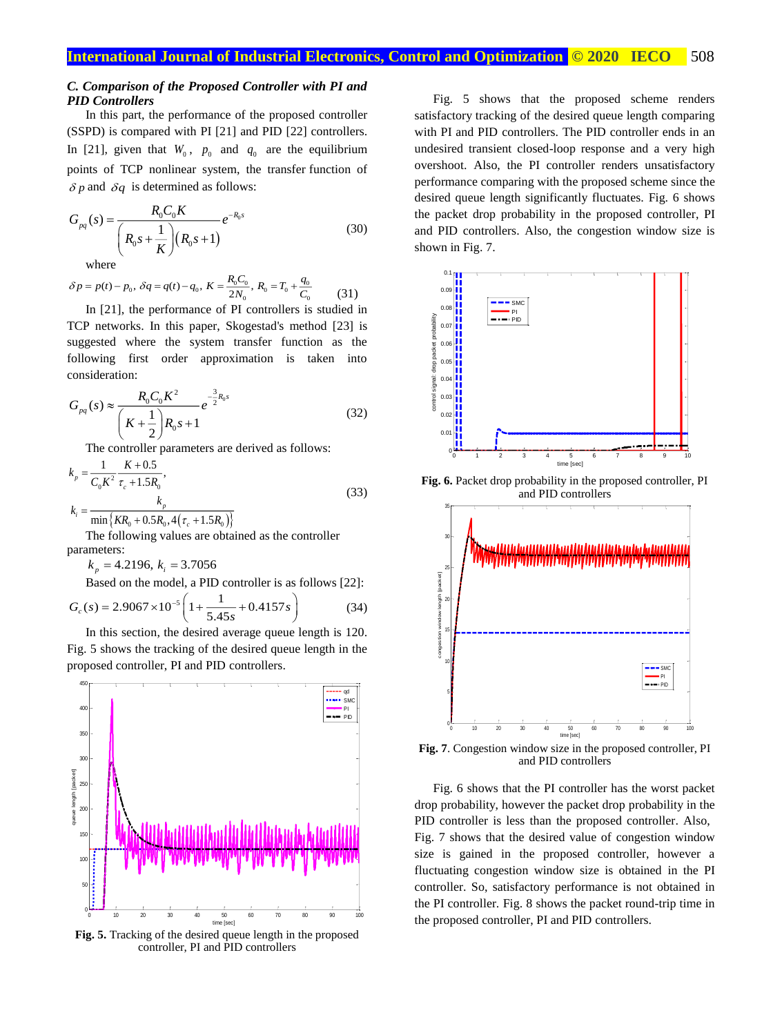#### *C. Comparison of the Proposed Controller with PI and PID Controllers*

In this part, the performance of the proposed controller (SSPD) is compared with PI [21] and PID [22] controllers. In [21], given that  $W_0$ ,  $p_0$  and  $q_0$  are the equilibrium points of TCP nonlinear system, the transfer function of  $\delta p$  and  $\delta q$  is determined as follows:

$$
G_{pq}(s) = \frac{R_0 C_0 K}{\left(R_0 s + \frac{1}{K}\right) \left(R_0 s + 1\right)}
$$
(30)

where

 $(0,0) - p_0, \ \delta q = q(t) - q_0, \ K = \frac{q_0 - q_0}{2N_0}, \ R_0 = T_0 + \frac{q_0}{C_0}$  $\delta p = p(t) - p_0, \ \delta q = q(t) - q_0, \ K = \frac{R_0 C_0}{2N_0}, \ R_0 = T_0 + \frac{q_0}{C_0}$ (31)

In [21], the performance of PI controllers is studied in TCP networks. In this paper, Skogestad's method [23] is suggested where the system transfer function as the following first order approximation is taken into consideration:

$$
G_{pq}(s) \approx \frac{R_0 C_0 K^2}{\left(K + \frac{1}{2}\right) R_0 s + 1} e^{-\frac{3}{2}R_0 s}
$$
\n(32)

The controller parameters are derived as follows:

$$
k_{p} = \frac{1}{C_{0}K^{2}} \frac{K + 0.5}{\tau_{c} + 1.5R_{0}},
$$
  
\n
$$
k_{i} = \frac{k_{p}}{\pi i \pi \left(\frac{KP}{2} + 0.5P_{0}A\left(\tau_{c} + 1.5P_{0}\right)\right)}
$$
\n(33)

 $\min\big\{KR_{0}+0.5R_{0},4\big(\tau_{c}+1.5R_{0}\big)\big\}$ 

The following values are obtained as the controller parameters:

 $k<sub>n</sub> = 4.2196$ ,  $k<sub>i</sub> = 3.7056$ 

Based on the model, a PID controller is as follows [22]:

$$
G_c(s) = 2.9067 \times 10^{-5} \left( 1 + \frac{1}{5.45s} + 0.4157s \right)
$$
 (34)

In this section, the desired average queue length is 120. Fig. 5 shows the tracking of the desired queue length in the proposed controller, PI and PID controllers.



**Fig. 5.** Tracking of the desired queue length in the proposed controller, PI and PID controllers

Fig. 5 shows that the proposed scheme renders satisfactory tracking of the desired queue length comparing with PI and PID controllers. The PID controller ends in an undesired transient closed-loop response and a very high overshoot. Also, the PI controller renders unsatisfactory performance comparing with the proposed scheme since the desired queue length significantly fluctuates. Fig. 6 shows the packet drop probability in the proposed controller, PI and PID controllers. Also, the congestion window size is shown in Fig. 7.



**Fig. 6.** Packet drop probability in the proposed controller, PI and PID controllers



**Fig. 7**. Congestion window size in the proposed controller, PI and PID controllers

Fig. 6 shows that the PI controller has the worst packet drop probability, however the packet drop probability in the PID controller is less than the proposed controller. Also, Fig. 7 shows that the desired value of congestion window size is gained in the proposed controller, however a fluctuating congestion window size is obtained in the PI controller. So, satisfactory performance is not obtained in the PI controller. Fig. 8 shows the packet round-trip time in the proposed controller, PI and PID controllers.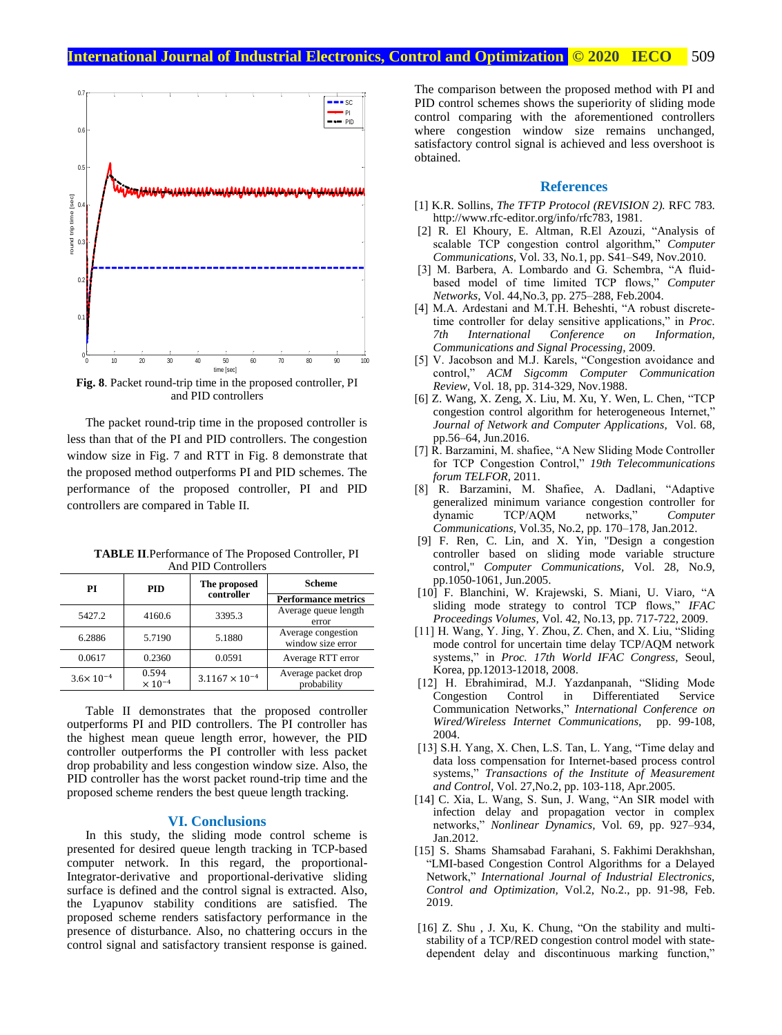

**Fig. 8**. Packet round-trip time in the proposed controller, PI and PID controllers

The packet round-trip time in the proposed controller is less than that of the PI and PID controllers. The congestion window size in Fig. 7 and RTT in Fig. 8 demonstrate that the proposed method outperforms PI and PID schemes. The performance of the proposed controller, PI and PID controllers are compared in Table II.

| РI                   | <b>PID</b>                         | The proposed            | Scheme                                  |  |
|----------------------|------------------------------------|-------------------------|-----------------------------------------|--|
|                      |                                    | controller              | <b>Performance metrics</b>              |  |
| 5427.2               | 4160.6                             | 3395.3                  | Average queue length<br>error           |  |
| 6.2886               | 5.7190                             | 5.1880                  | Average congestion<br>window size error |  |
| 0.0617               | 0.2360                             | 0.0591                  | Average RTT error                       |  |
| $3.6 \times 10^{-4}$ | 0.594<br>$\times$ 10 <sup>-4</sup> | $3.1167 \times 10^{-4}$ | Average packet drop<br>probability      |  |

**TABLE II**.Performance of The Proposed Controller, PI And PID Controllers

Table II demonstrates that the proposed controller outperforms PI and PID controllers. The PI controller has the highest mean queue length error, however, the PID controller outperforms the PI controller with less packet drop probability and less congestion window size. Also, the PID controller has the worst packet round-trip time and the proposed scheme renders the best queue length tracking.

#### **VI. Conclusions**

In this study, the sliding mode control scheme is presented for desired queue length tracking in TCP-based computer network. In this regard, the proportional-Integrator-derivative and proportional-derivative sliding surface is defined and the control signal is extracted. Also, the Lyapunov stability conditions are satisfied. The proposed scheme renders satisfactory performance in the presence of disturbance. Also, no chattering occurs in the control signal and satisfactory transient response is gained.

The comparison between the proposed method with PI and PID control schemes shows the superiority of sliding mode control comparing with the aforementioned controllers where congestion window size remains unchanged, satisfactory control signal is achieved and less overshoot is obtained.

### **References**

- [1] K.R. Sollins, *The TFTP Protocol (REVISION 2).* RFC 783. [http://www.rfc-editor.org/info/rfc783,](http://www.rfc-editor.org/info/rfc783) 1981.
- [2] [R. El](http://www.sciencedirect.com/science/article/pii/S0140366410001994) Khoury, [E.](http://www.sciencedirect.com/science/article/pii/S0140366410001994) Altman, [R.El](http://www.sciencedirect.com/science/article/pii/S0140366410001994) Azouzi, "Analysis of scalable TCP congestion control algorithm," *Computer Communications,* Vol. 33, No.1, pp. S41–S49, Nov.2010.
- [3] M. Barbera, A. Lombardo and G. Schembra, "A fluidbased model of time limited TCP flows," *Computer Networks,* Vol. 44,No.3, pp. 275–288, Feb.2004.
- [4] M.A. Ardestani and M.T.H. Beheshti, "A robust discretetime controller for delay sensitive applications," in *Proc. 7th International Conference on [Information,](http://ieeexplore.ieee.org/xpl/mostRecentIssue.jsp?punumber=5383381)  [Communications and Signal Processing,](http://ieeexplore.ieee.org/xpl/mostRecentIssue.jsp?punumber=5383381)* 2009.
- [5] V. Jacobson and M.J. Karels, "Congestion avoidance and control," *ACM Sigcomm Computer Communication Review,* Vol. 18, pp. 314-329, Nov.1988.
- [6[\] Z.](http://www.sciencedirect.com/science/article/pii/S1084804516300327) Wang, [X.](http://www.sciencedirect.com/science/article/pii/S1084804516300327) Zeng[, X.](http://www.sciencedirect.com/science/article/pii/S1084804516300327) Liu, [M. Xu, Y. Wen, L. Chen,](https://www.sciencedirect.com/science/article/pii/S1084804516300327#!) "TCP congestion control algorithm for heterogeneous Internet," *Journal of Network and Computer Applications,* [Vol. 68,](http://www.sciencedirect.com/science/journal/10848045/68/supp/C) pp.56–64, Jun.2016.
- [7] R. Barzamini, M. shafiee, "A New Sliding Mode Controller for TCP Congestion Control," *19th Telecommunications forum TELFOR,* 2011.
- [8] R. Barzamini, M. Shafiee, A. Dadlani, "Adaptive generalized minimum variance congestion controller for dynamic TCP/AQM networks," *Computer Communications,* Vol.35, No.2, pp. 170–178, Jan.2012.
- [9] F. Ren, C. Lin, and X. Yin, "Design a congestion controller based on sliding mode variable structure control," *Computer Communications,* Vol. 28, No.9, pp.1050-1061, Jun.2005.
- [10] [F. Blanchini,](https://www.sciencedirect.com/science/article/pii/S1474667015305267#!) [W. Krajewski,](https://www.sciencedirect.com/science/article/pii/S1474667015305267#!) [S. Miani,](https://www.sciencedirect.com/science/article/pii/S1474667015305267#!) [U. Viaro,](https://www.sciencedirect.com/science/article/pii/S1474667015305267#!) "A sliding mode strategy to control TCP flows," *[IFAC](https://www.sciencedirect.com/science/journal/14746670)  [Proceedings Volumes,](https://www.sciencedirect.com/science/journal/14746670)* Vol. 42, No.13, pp. 717-722, 2009.
- [11] H. Wang, Y. Jing, Y. Zhou, Z. Chen, and X. Liu, "Sliding mode control for uncertain time delay TCP/AQM network systems," in *Proc. 17th World IFAC Congress,* Seoul, Korea, pp.12013-12018, 2008.
- [12] H. Ebrahimirad, M.J. Yazdanpanah, "Sliding Mode Congestion Control in Differentiated Service Communication Networks," *[International Conference on](https://link.springer.com/conference/wwic)  [Wired/Wireless Internet Communications,](https://link.springer.com/conference/wwic)* pp. 99-108, 2004.
- [13] S.H. Yang, X. Chen, L.S. Tan, L. Yang, "Time delay and data loss compensation for Internet-based process control systems," *[Transactions of the Institute of Measurement](https://www.researchgate.net/journal/0142-3312_Transactions_of_the_Institute_of_Measurement_and_Control)  [and Control,](https://www.researchgate.net/journal/0142-3312_Transactions_of_the_Institute_of_Measurement_and_Control)* Vol. 27,No.2, pp. 103-118, Apr.2005.
- [14] C. Xia, L. Wang, S. Sun, J. Wang, "An SIR model with infection delay and propagation vector in complex networks," *Nonlinear Dynamics,* Vol. 69, pp. 927–934, Jan.2012.
- [15] S. Shams Shamsabad Farahani, S. Fakhimi Derakhshan, "LMI-based Congestion Control Algorithms for a Delayed Network," *International Journal of Industrial Electronics, Control and Optimization,* Vol.2, No.2., pp. 91-98, Feb. 2019.
- [16] Z. Shu, J. Xu, [K.](http://www.sciencedirect.com/science/article/pii/S100757041400464X) Chung, "On the stability and multistability of a TCP/RED congestion control model with statedependent delay and discontinuous marking function,"